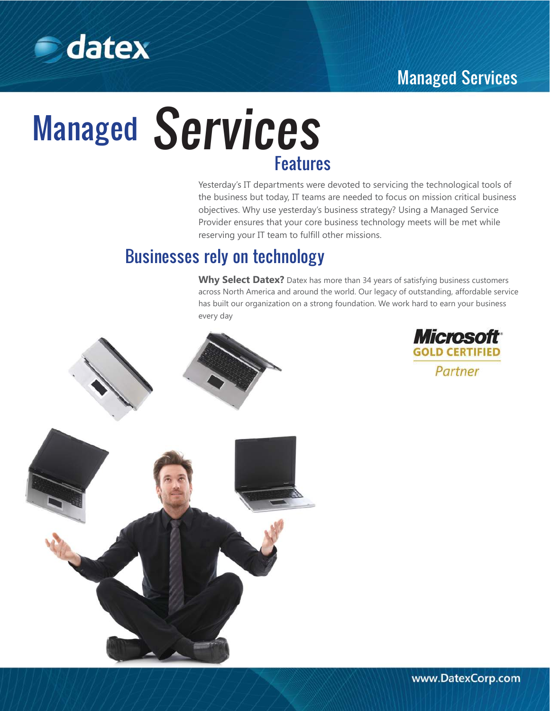# Managed Services



# **Managed Services** Features

Yesterday's IT departments were devoted to servicing the technological tools of the business but today, IT teams are needed to focus on mission critical business objectives. Why use yesterday's business strategy? Using a Managed Service Provider ensures that your core business technology meets will be met while reserving your IT team to fulfill other missions.

### Businesses rely on technology

Why Select Datex? Datex has more than 34 years of satisfying business customers across North America and around the world. Our legacy of outstanding, affordable service has built our organization on a strong foundation. We work hard to earn your business every day